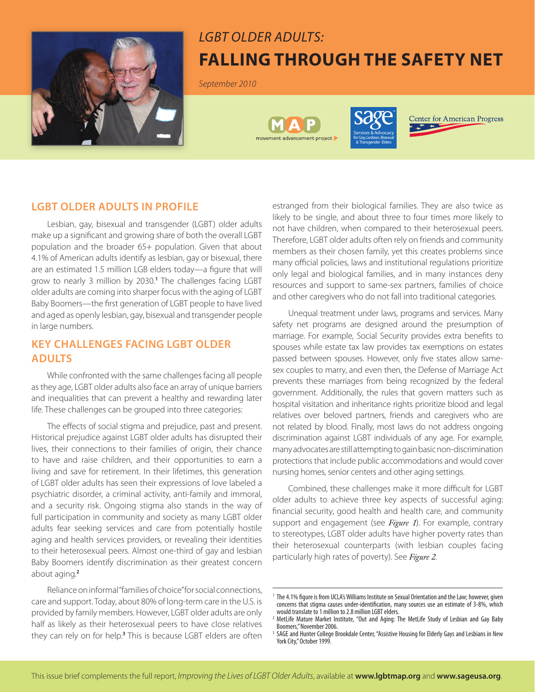

# *LGBT Older Adults:* **Falling Through the Safety Net**

*September 2010*





**Center for American Progress** 

## **LGBT OLDER ADULTS IN PROFILE**

Lesbian, gay, bisexual and transgender (LGBT) older adults make up a significant and growing share of both the overall LGBT population and the broader 65+ population. Given that about 4.1% of American adults identify as lesbian, gay or bisexual, there are an estimated 1.5 million LGB elders today—a figure that will grow to nearly 3 million by 2030.**<sup>1</sup>** The challenges facing LGBT older adults are coming into sharper focus with the aging of LGBT Baby Boomers—the first generation of LGBT people to have lived and aged as openly lesbian, gay, bisexual and transgender people in large numbers.

# **KEY CHALLENGES FACING LGBT OLDER ADULTS**

While confronted with the same challenges facing all people as they age, LGBT older adults also face an array of unique barriers and inequalities that can prevent a healthy and rewarding later life. These challenges can be grouped into three categories:

The effects of social stigma and prejudice, past and present. Historical prejudice against LGBT older adults has disrupted their lives, their connections to their families of origin, their chance to have and raise children, and their opportunities to earn a living and save for retirement. In their lifetimes, this generation of LGBT older adults has seen their expressions of love labeled a psychiatric disorder, a criminal activity, anti-family and immoral, and a security risk. Ongoing stigma also stands in the way of full participation in community and society as many LGBT older adults fear seeking services and care from potentially hostile aging and health services providers, or revealing their identities to their heterosexual peers. Almost one-third of gay and lesbian Baby Boomers identify discrimination as their greatest concern about aging.**<sup>2</sup>**

Reliance on informal "families of choice" for social connections, care and support. Today, about 80% of long-term care in the U.S. is provided by family members. However, LGBT older adults are only half as likely as their heterosexual peers to have close relatives they can rely on for help.**<sup>3</sup>** This is because LGBT elders are often estranged from their biological families. They are also twice as likely to be single, and about three to four times more likely to not have children, when compared to their heterosexual peers. Therefore, LGBT older adults often rely on friends and community members as their chosen family, yet this creates problems since many official policies, laws and institutional regulations prioritize only legal and biological families, and in many instances deny resources and support to same-sex partners, families of choice and other caregivers who do not fall into traditional categories.

Unequal treatment under laws, programs and services. Many safety net programs are designed around the presumption of marriage. For example, Social Security provides extra benefits to spouses while estate tax law provides tax exemptions on estates passed between spouses. However, only five states allow samesex couples to marry, and even then, the Defense of Marriage Act prevents these marriages from being recognized by the federal government. Additionally, the rules that govern matters such as hospital visitation and inheritance rights prioritize blood and legal relatives over beloved partners, friends and caregivers who are not related by blood. Finally, most laws do not address ongoing discrimination against LGBT individuals of any age. For example, many advocates are still attempting to gain basic non-discrimination protections that include public accommodations and would cover nursing homes, senior centers and other aging settings.

Combined, these challenges make it more difficult for LGBT older adults to achieve three key aspects of successful aging: financial security, good health and health care, and community support and engagement (see *Figure 1*). For example, contrary to stereotypes, LGBT older adults have higher poverty rates than their heterosexual counterparts (with lesbian couples facing particularly high rates of poverty). See *Figure 2*.

<sup>&</sup>lt;sup>1</sup> The 4.1% figure is from UCLA's Williams Institute on Sexual Orientation and the Law; however, given concerns that stigma causes under-identification, many sources use an estimate of 3-8%, which would translate to 1 million to 2.8 million LGBT elders.

<sup>2</sup> MetLife Mature Market Institute, "Out and Aging: The MetLife Study of Lesbian and Gay Baby Boomers," November 2006.

<sup>&</sup>lt;sup>3</sup> SAGE and Hunter College Brookdale Center, "Assistive Housing for Elderly Gays and Lesbians in New York City," October 1999.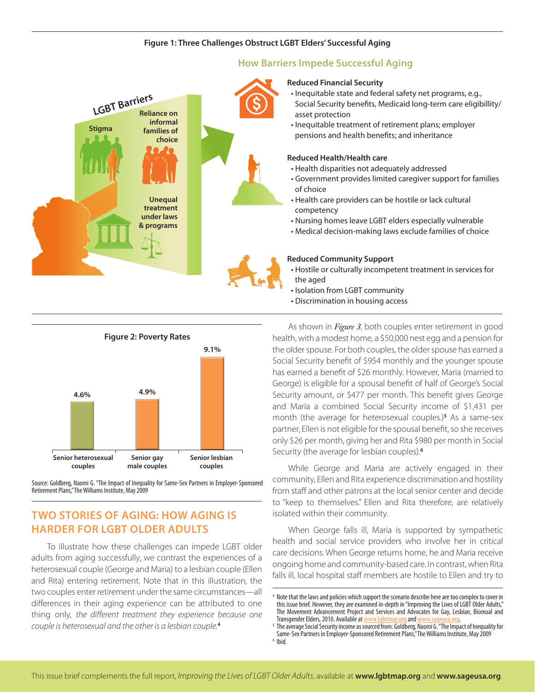#### **Figure 1: Three Challenges Obstruct LGBT Elders' Successful Aging**





Source: Goldberg, Naomi G. "The Impact of Inequality for Same-Sex Partners in Employer-Sponsored Retirement Plans," The Williams Institute, May 2009

# **TWO STORIES OF AGING: HOW AGING IS HARDER FOR LGBT OLDER ADULTS**

To illustrate how these challenges can impede LGBT older adults from aging successfully, we contrast the experiences of a heterosexual couple (George and Maria) to a lesbian couple (Ellen and Rita) entering retirement. Note that in this illustration, the two couples enter retirement under the same circumstances—all differences in their aging experience can be attributed to one thing only, *the different treatment they experience because one couple is heterosexual and the other is a lesbian couple.***<sup>4</sup>**

As shown in *Figure 3*, both couples enter retirement in good health, with a modest home, a \$50,000 nest egg and a pension for the older spouse. For both couples, the older spouse has earned a Social Security benefit of \$954 monthly and the younger spouse has earned a benefit of \$26 monthly. However, Maria (married to George) is eligible for a spousal benefit of half of George's Social Security amount, or \$477 per month. This benefit gives George and Maria a combined Social Security income of \$1,431 per month (the average for heterosexual couples.)**<sup>5</sup>** As a same-sex partner, Ellen is not eligible for the spousal benefit, so she receives only \$26 per month, giving her and Rita \$980 per month in Social Security (the average for lesbian couples).**<sup>6</sup>**

While George and Maria are actively engaged in their community, Ellen and Rita experience discrimination and hostility from staff and other patrons at the local senior center and decide to "keep to themselves." Ellen and Rita therefore, are relatively isolated within their community.

When George falls ill, Maria is supported by sympathetic health and social service providers who involve her in critical care decisions. When George returns home, he and Maria receive ongoing home and community-based care. In contrast, when Rita falls ill, local hospital staff members are hostile to Ellen and try to

<sup>4</sup> Note that the laws and policies which support the scenario describe here are too complex to cover in this issue brief. However, they are examined in-depth in "Improving the Lives of LGBT Older Adults," The Movement Advancement Project and Services and Advocates for Gay, Lesbian, Bisexual and<br>Transgender Elders, 2010. Available at www.lgbtmap.org and www.sageusa.org. Transgender Elders, 2010. Available at <u>www.lgbtmap.org</u> and <u>www.sageusa.org</u>.<br>The average Social Security income as sourced from: Goldberg, Naomi G. "The Impact of Inequality for

Same-Sex Partners in Employer-Sponsored Retirement Plans," The Williams Institute, May 2009

 $6$  Ibid.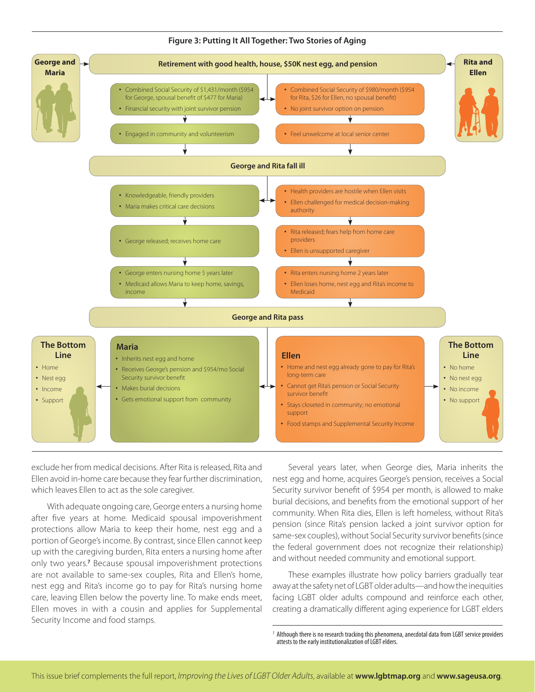

#### **Figure 3: Putting It All Together: Two Stories of Aging**

exclude her from medical decisions. After Rita is released, Rita and Ellen avoid in-home care because they fear further discrimination, which leaves Ellen to act as the sole caregiver.

With adequate ongoing care, George enters a nursing home after five years at home. Medicaid spousal impoverishment protections allow Maria to keep their home, nest egg and a portion of George's income. By contrast, since Ellen cannot keep up with the caregiving burden, Rita enters a nursing home after only two years.**<sup>7</sup>** Because spousal impoverishment protections are not available to same-sex couples, Rita and Ellen's home, nest egg and Rita's income go to pay for Rita's nursing home care, leaving Ellen below the poverty line. To make ends meet, Ellen moves in with a cousin and applies for Supplemental Security Income and food stamps.

Several years later, when George dies, Maria inherits the nest egg and home, acquires George's pension, receives a Social Security survivor benefit of \$954 per month, is allowed to make burial decisions, and benefits from the emotional support of her community. When Rita dies, Ellen is left homeless, without Rita's pension (since Rita's pension lacked a joint survivor option for same-sex couples), without Social Security survivor benefits (since the federal government does not recognize their relationship) and without needed community and emotional support.

These examples illustrate how policy barriers gradually tear away at the safety net of LGBT older adults—and how the inequities facing LGBT older adults compound and reinforce each other, creating a dramatically different aging experience for LGBT elders

Although there is no research tracking this phenomena, anecdotal data from LGBT service providers attests to the early institutionalization of LGBT elders.